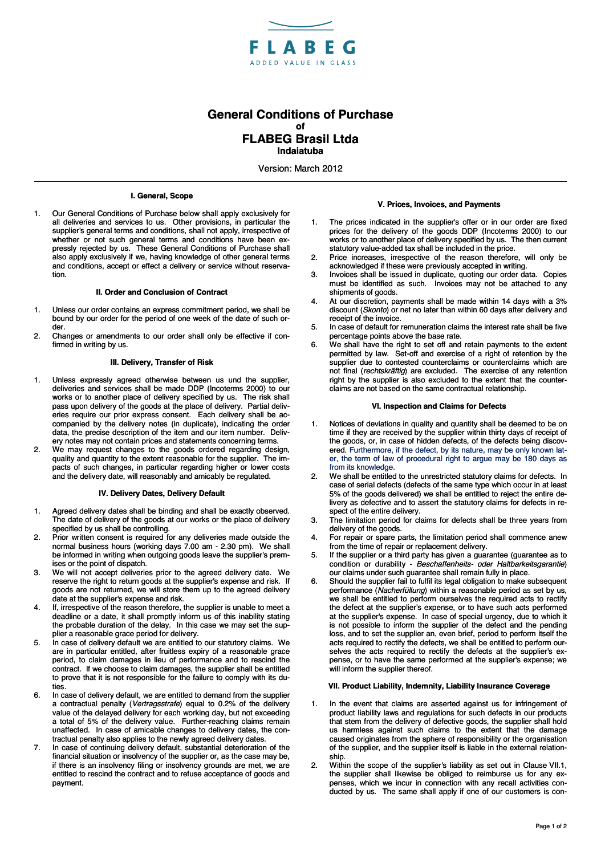

# **General Conditions of Purchase of FLABEG Brasil Ltda Indaiatuba**

Version: March 2012

## **I. General, Scope**

1. Our General Conditions of Purchase below shall apply exclusively for all deliveries and services to us. Other provisions, in particular the supplier's general terms and conditions, shall not apply, irrespective of whether or not such general terms and conditions have been expressly rejected by us. These General Conditions of Purchase shall also apply exclusively if we, having knowledge of other general terms and conditions, accept or effect a delivery or service without reservation.

#### **II. Order and Conclusion of Contract**

- 1. Unless our order contains an express commitment period, we shall be bound by our order for the period of one week of the date of such order.
- 2. Changes or amendments to our order shall only be effective if confirmed in writing by us.

# **III. Delivery, Transfer of Risk**

- 1. Unless expressly agreed otherwise between us und the supplier, deliveries and services shall be made DDP (Incoterms 2000) to our works or to another place of delivery specified by us. The risk shall pass upon delivery of the goods at the place of delivery. Partial deliveries require our prior express consent. Each delivery shall be accompanied by the delivery notes (in duplicate), indicating the order data, the precise description of the item and our item number. Delivery notes may not contain prices and statements concerning terms.
- 2. We may request changes to the goods ordered regarding design, quality and quantity to the extent reasonable for the supplier. The impacts of such changes, in particular regarding higher or lower costs and the delivery date, will reasonably and amicably be regulated.

# **IV. Delivery Dates, Delivery Default**

- 1. Agreed delivery dates shall be binding and shall be exactly observed. The date of delivery of the goods at our works or the place of delivery specified by us shall be controlling.
- 2. Prior written consent is required for any deliveries made outside the normal business hours (working days 7.00 am - 2.30 pm). We shall be informed in writing when outgoing goods leave the supplier's premises or the point of dispatch.
- 3. We will not accept deliveries prior to the agreed delivery date. We reserve the right to return goods at the supplier's expense and risk. If goods are not returned, we will store them up to the agreed delivery date at the supplier's expense and risk.
- 4. If, irrespective of the reason therefore, the supplier is unable to meet a deadline or a date, it shall promptly inform us of this inability stating the probable duration of the delay. In this case we may set the supplier a reasonable grace period for delivery.
- 5. In case of delivery default we are entitled to our statutory claims. We are in particular entitled, after fruitless expiry of a reasonable grace period, to claim damages in lieu of performance and to rescind the contract. If we choose to claim damages, the supplier shall be entitled to prove that it is not responsible for the failure to comply with its duties.
- 6. In case of delivery default, we are entitled to demand from the supplier a contractual penalty (*Vertragsstrafe*) equal to 0.2% of the delivery value of the delayed delivery for each working day, but not exceeding a total of 5% of the delivery value. Further-reaching claims remain unaffected. In case of amicable changes to delivery dates, the contractual penalty also applies to the newly agreed delivery dates.
- 7. In case of continuing delivery default, substantial deterioration of the financial situation or insolvency of the supplier or, as the case may be, if there is an insolvency filing or insolvency grounds are met, we are entitled to rescind the contract and to refuse acceptance of goods and payment.

### **V. Prices, Invoices, and Payments**

- The prices indicated in the supplier's offer or in our order are fixed prices for the delivery of the goods DDP (Incoterms 2000) to our works or to another place of delivery specified by us. The then current statutory value-added tax shall be included in the price.
- 2. Price increases, irrespective of the reason therefore, will only be acknowledged if these were previously accepted in writing.
- 3. Invoices shall be issued in duplicate, quoting our order data. Copies must be identified as such. Invoices may not be attached to any shipments of goods.
- 4. At our discretion, payments shall be made within 14 days with a 3% discount (*Skonto*) or net no later than within 60 days after delivery and receipt of the invoice.
- 5. In case of default for remuneration claims the interest rate shall be five percentage points above the base rate.
- 6. We shall have the right to set off and retain payments to the extent permitted by law. Set-off and exercise of a right of retention by the supplier due to contested counterclaims or counterclaims which are not final (*rechtskräftig*) are excluded. The exercise of any retention right by the supplier is also excluded to the extent that the counterclaims are not based on the same contractual relationship.

### **VI. Inspection and Claims for Defects**

- 1. Notices of deviations in quality and quantity shall be deemed to be on time if they are received by the supplier within thirty days of receipt of the goods, or, in case of hidden defects, of the defects being discovered. Furthermore, if the defect, by its nature, may be only known later, the term of law of procedural right to argue may be 180 days as from its knowledge.
- 2. We shall be entitled to the unrestricted statutory claims for defects. In case of serial defects (defects of the same type which occur in at least 5% of the goods delivered) we shall be entitled to reject the entire delivery as defective and to assert the statutory claims for defects in respect of the entire delivery.
- 3. The limitation period for claims for defects shall be three years from delivery of the goods.
- 4. For repair or spare parts, the limitation period shall commence anew from the time of repair or replacement delivery.
- 5. If the supplier or a third party has given a guarantee (guarantee as to condition or durability - *Beschaffenheits- oder Haltbarkeitsgarantie*) our claims under such guarantee shall remain fully in place.
- 6. Should the supplier fail to fulfil its legal obligation to make subsequent performance (*Nacherfüllung*) within a reasonable period as set by us, we shall be entitled to perform ourselves the required acts to rectify the defect at the supplier's expense, or to have such acts performed at the supplier's expense. In case of special urgency, due to which it is not possible to inform the supplier of the defect and the pending loss, and to set the supplier an, even brief, period to perform itself the acts required to rectify the defects, we shall be entitled to perform ourselves the acts required to rectify the defects at the supplier's expense, or to have the same performed at the supplier's expense; we will inform the supplier thereof.

#### **VII. Product Liability, Indemnity, Liability Insurance Coverage**

- 1. In the event that claims are asserted against us for infringement of product liability laws and regulations for such defects in our products that stem from the delivery of defective goods, the supplier shall hold us harmless against such claims to the extent that the damage caused originates from the sphere of responsibility or the organisation of the supplier, and the supplier itself is liable in the external relationship.
- 2. Within the scope of the supplier's liability as set out in Clause VII.1, the supplier shall likewise be obliged to reimburse us for any expenses, which we incur in connection with any recall activities conducted by us. The same shall apply if one of our customers is con-